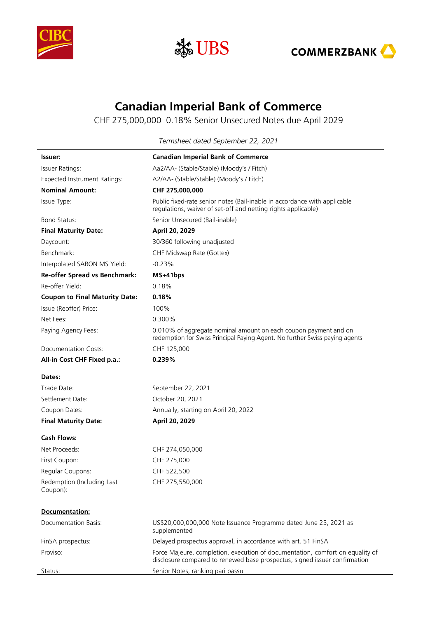





## **Canadian Imperial Bank of Commerce**

CHF 275,000,000 0.18% Senior Unsecured Notes due April 2029

**Issuer: Canadian Imperial Bank of Commerce**  Issuer Ratings: Aa2/AA- (Stable/Stable) (Moody's / Fitch) Expected Instrument Ratings: A2/AA- (Stable/Stable) (Moody's / Fitch) **Nominal Amount: CHF 275,000,000** Issue Type: Public fixed-rate senior notes (Bail-inable in accordance with applicable regulations, waiver of set-off and netting rights applicable) Bond Status: Senior Unsecured (Bail-inable) **Final Maturity Date: April 20, 2029** Daycount: 30/360 following unadjusted Benchmark: CHF Midswap Rate (Gottex) Interpolated SARON MS Yield: -0.23% **Re-offer Spread vs Benchmark: MS+41bps** Re-offer Yield: 0.18% **Coupon to Final Maturity Date: 0.18%** 

Issue (Reoffer) Price: 100% Net Fees: 0.300% Paying Agency Fees: 0.010% of aggregate nominal amount on each coupon payment and on redemption for Swiss Principal Paying Agent. No further Swiss paying agents Documentation Costs: CHF 125,000

**All-in Cost CHF Fixed p.a.: 0.239%**

**Dates:**

| <b>Final Maturity Date:</b> | April 20, 2029                       |
|-----------------------------|--------------------------------------|
| Coupon Dates:               | Annually, starting on April 20, 2022 |
| Settlement Date:            | October 20, 2021                     |
| Trade Date:                 | September 22, 2021                   |

## **Cash Flows:**

**Documentation:**

Net Proceeds: CHF 274,050,000 First Coupon: CHF 275,000 Regular Coupons: CHF 522,500 Redemption (Including Last Coupon):

CHF 275,550,000

| Documentation.       |                                                                                                                                                             |
|----------------------|-------------------------------------------------------------------------------------------------------------------------------------------------------------|
| Documentation Basis: | US\$20,000,000,000 Note Issuance Programme dated June 25, 2021 as<br>supplemented                                                                           |
| FinSA prospectus:    | Delayed prospectus approval, in accordance with art. 51 FinSA                                                                                               |
| Proviso:             | Force Majeure, completion, execution of documentation, comfort on equality of<br>disclosure compared to renewed base prospectus, signed issuer confirmation |
| Status:              | Senior Notes, ranking pari passu                                                                                                                            |

*Termsheet dated September 22, 2021*